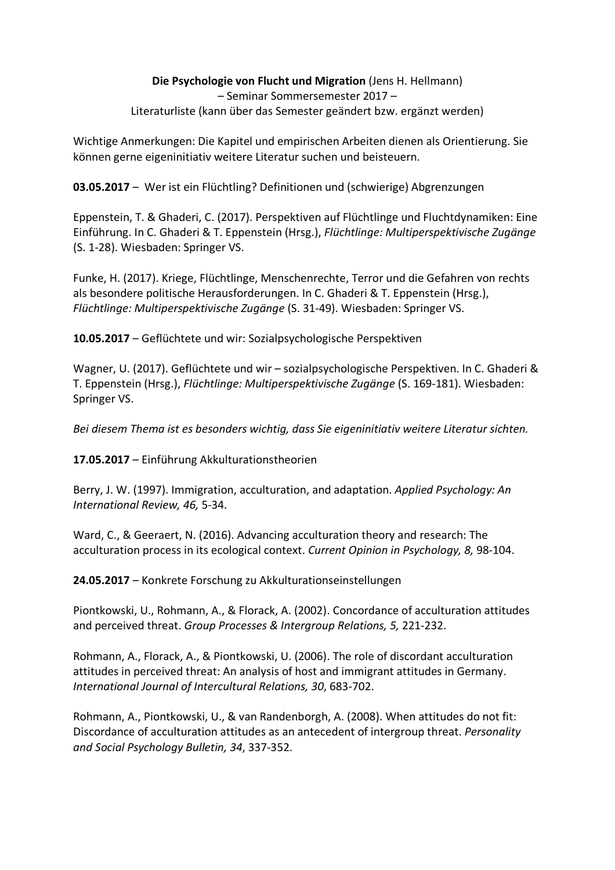## **Die Psychologie von Flucht und Migration** (Jens H. Hellmann) – Seminar Sommersemester 2017 – Literaturliste (kann über das Semester geändert bzw. ergänzt werden)

Wichtige Anmerkungen: Die Kapitel und empirischen Arbeiten dienen als Orientierung. Sie können gerne eigeninitiativ weitere Literatur suchen und beisteuern.

**03.05.2017** – Wer ist ein Flüchtling? Definitionen und (schwierige) Abgrenzungen

Eppenstein, T. & Ghaderi, C. (2017). Perspektiven auf Flüchtlinge und Fluchtdynamiken: Eine Einführung. In C. Ghaderi & T. Eppenstein (Hrsg.), *Flüchtlinge: Multiperspektivische Zugänge* (S. 1-28). Wiesbaden: Springer VS.

Funke, H. (2017). Kriege, Flüchtlinge, Menschenrechte, Terror und die Gefahren von rechts als besondere politische Herausforderungen. In C. Ghaderi & T. Eppenstein (Hrsg.), *Flüchtlinge: Multiperspektivische Zugänge* (S. 31-49). Wiesbaden: Springer VS.

**10.05.2017** – Geflüchtete und wir: Sozialpsychologische Perspektiven

Wagner, U. (2017). Geflüchtete und wir – sozialpsychologische Perspektiven. In C. Ghaderi & T. Eppenstein (Hrsg.), *Flüchtlinge: Multiperspektivische Zugänge* (S. 169-181). Wiesbaden: Springer VS.

*Bei diesem Thema ist es besonders wichtig, dass Sie eigeninitiativ weitere Literatur sichten.*

**17.05.2017** – Einführung Akkulturationstheorien

Berry, J. W. (1997). Immigration, acculturation, and adaptation. *Applied Psychology: An International Review, 46,* 5-34.

Ward, C., & Geeraert, N. (2016). Advancing acculturation theory and research: The acculturation process in its ecological context. *Current Opinion in Psychology, 8,* 98-104.

**24.05.2017** – Konkrete Forschung zu Akkulturationseinstellungen

Piontkowski, U., Rohmann, A., & Florack, A. (2002). Concordance of acculturation attitudes and perceived threat. *Group Processes & Intergroup Relations, 5,* 221-232.

Rohmann, A., Florack, A., & Piontkowski, U. (2006). The role of discordant acculturation attitudes in perceived threat: An analysis of host and immigrant attitudes in Germany. *International Journal of Intercultural Relations, 30*, 683-702.

Rohmann, A., Piontkowski, U., & van Randenborgh, A. (2008). When attitudes do not fit: Discordance of acculturation attitudes as an antecedent of intergroup threat. *Personality and Social Psychology Bulletin, 34*, 337-352.